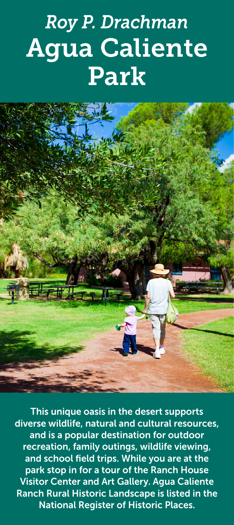# *Roy P. Drachman* Agua Caliente Park



This unique oasis in the desert supports diverse wildlife, natural and cultural resources, and is a popular destination for outdoor recreation, family outings, wildlife viewing, and school field trips. While you are at the park stop in for a tour of the Ranch House Visitor Center and Art Gallery. Agua Caliente Ranch Rural Historic Landscape is listed in the National Register of Historic Places.